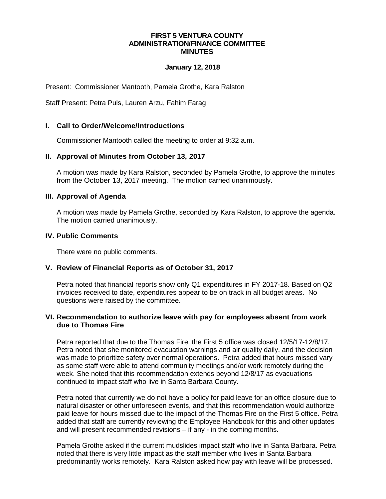#### **FIRST 5 VENTURA COUNTY ADMINISTRATION/FINANCE COMMITTEE MINUTES**

#### **January 12, 2018**

Present: Commissioner Mantooth, Pamela Grothe, Kara Ralston

Staff Present: Petra Puls, Lauren Arzu, Fahim Farag

# **I. Call to Order/Welcome/Introductions**

Commissioner Mantooth called the meeting to order at 9:32 a.m.

### **II. Approval of Minutes from October 13, 2017**

A motion was made by Kara Ralston, seconded by Pamela Grothe, to approve the minutes from the October 13, 2017 meeting. The motion carried unanimously.

### **III. Approval of Agenda**

A motion was made by Pamela Grothe, seconded by Kara Ralston, to approve the agenda. The motion carried unanimously.

## **IV. Public Comments**

There were no public comments.

## **V. Review of Financial Reports as of October 31, 2017**

Petra noted that financial reports show only Q1 expenditures in FY 2017-18. Based on Q2 invoices received to date, expenditures appear to be on track in all budget areas. No questions were raised by the committee.

### **VI. Recommendation to authorize leave with pay for employees absent from work due to Thomas Fire**

Petra reported that due to the Thomas Fire, the First 5 office was closed 12/5/17-12/8/17. Petra noted that she monitored evacuation warnings and air quality daily, and the decision was made to prioritize safety over normal operations. Petra added that hours missed vary as some staff were able to attend community meetings and/or work remotely during the week. She noted that this recommendation extends beyond 12/8/17 as evacuations continued to impact staff who live in Santa Barbara County.

Petra noted that currently we do not have a policy for paid leave for an office closure due to natural disaster or other unforeseen events, and that this recommendation would authorize paid leave for hours missed due to the impact of the Thomas Fire on the First 5 office. Petra added that staff are currently reviewing the Employee Handbook for this and other updates and will present recommended revisions – if any - in the coming months.

Pamela Grothe asked if the current mudslides impact staff who live in Santa Barbara. Petra noted that there is very little impact as the staff member who lives in Santa Barbara predominantly works remotely. Kara Ralston asked how pay with leave will be processed.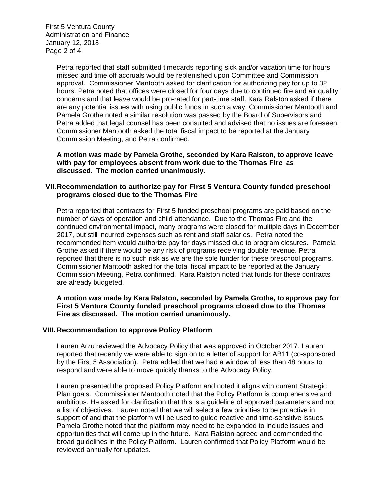First 5 Ventura County Administration and Finance January 12, 2018 Page 2 of 4

> Petra reported that staff submitted timecards reporting sick and/or vacation time for hours missed and time off accruals would be replenished upon Committee and Commission approval. Commissioner Mantooth asked for clarification for authorizing pay for up to 32 hours. Petra noted that offices were closed for four days due to continued fire and air quality concerns and that leave would be pro-rated for part-time staff. Kara Ralston asked if there are any potential issues with using public funds in such a way. Commissioner Mantooth and Pamela Grothe noted a similar resolution was passed by the Board of Supervisors and Petra added that legal counsel has been consulted and advised that no issues are foreseen. Commissioner Mantooth asked the total fiscal impact to be reported at the January Commission Meeting, and Petra confirmed.

**A motion was made by Pamela Grothe, seconded by Kara Ralston, to approve leave with pay for employees absent from work due to the Thomas Fire as discussed. The motion carried unanimously.**

### **VII.Recommendation to authorize pay for First 5 Ventura County funded preschool programs closed due to the Thomas Fire**

Petra reported that contracts for First 5 funded preschool programs are paid based on the number of days of operation and child attendance. Due to the Thomas Fire and the continued environmental impact, many programs were closed for multiple days in December 2017, but still incurred expenses such as rent and staff salaries. Petra noted the recommended item would authorize pay for days missed due to program closures. Pamela Grothe asked if there would be any risk of programs receiving double revenue. Petra reported that there is no such risk as we are the sole funder for these preschool programs. Commissioner Mantooth asked for the total fiscal impact to be reported at the January Commission Meeting, Petra confirmed. Kara Ralston noted that funds for these contracts are already budgeted.

**A motion was made by Kara Ralston, seconded by Pamela Grothe, to approve pay for First 5 Ventura County funded preschool programs closed due to the Thomas Fire as discussed. The motion carried unanimously.**

#### **VIII.Recommendation to approve Policy Platform**

Lauren Arzu reviewed the Advocacy Policy that was approved in October 2017. Lauren reported that recently we were able to sign on to a letter of support for AB11 (co-sponsored by the First 5 Association). Petra added that we had a window of less than 48 hours to respond and were able to move quickly thanks to the Advocacy Policy.

Lauren presented the proposed Policy Platform and noted it aligns with current Strategic Plan goals. Commissioner Mantooth noted that the Policy Platform is comprehensive and ambitious. He asked for clarification that this is a guideline of approved parameters and not a list of objectives. Lauren noted that we will select a few priorities to be proactive in support of and that the platform will be used to guide reactive and time-sensitive issues. Pamela Grothe noted that the platform may need to be expanded to include issues and opportunities that will come up in the future. Kara Ralston agreed and commended the broad guidelines in the Policy Platform. Lauren confirmed that Policy Platform would be reviewed annually for updates.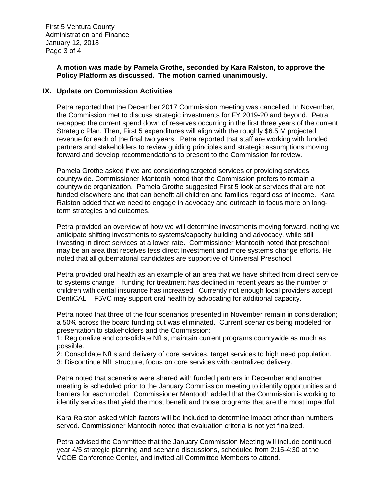### **A motion was made by Pamela Grothe, seconded by Kara Ralston, to approve the Policy Platform as discussed. The motion carried unanimously.**

## **IX. Update on Commission Activities**

Petra reported that the December 2017 Commission meeting was cancelled. In November, the Commission met to discuss strategic investments for FY 2019-20 and beyond. Petra recapped the current spend down of reserves occurring in the first three years of the current Strategic Plan. Then, First 5 expenditures will align with the roughly \$6.5 M projected revenue for each of the final two years. Petra reported that staff are working with funded partners and stakeholders to review guiding principles and strategic assumptions moving forward and develop recommendations to present to the Commission for review.

Pamela Grothe asked if we are considering targeted services or providing services countywide. Commissioner Mantooth noted that the Commission prefers to remain a countywide organization. Pamela Grothe suggested First 5 look at services that are not funded elsewhere and that can benefit all children and families regardless of income. Kara Ralston added that we need to engage in advocacy and outreach to focus more on longterm strategies and outcomes.

Petra provided an overview of how we will determine investments moving forward, noting we anticipate shifting investments to systems/capacity building and advocacy, while still investing in direct services at a lower rate. Commissioner Mantooth noted that preschool may be an area that receives less direct investment and more systems change efforts. He noted that all gubernatorial candidates are supportive of Universal Preschool.

Petra provided oral health as an example of an area that we have shifted from direct service to systems change – funding for treatment has declined in recent years as the number of children with dental insurance has increased. Currently not enough local providers accept DentiCAL – F5VC may support oral health by advocating for additional capacity.

Petra noted that three of the four scenarios presented in November remain in consideration; a 50% across the board funding cut was eliminated. Current scenarios being modeled for presentation to stakeholders and the Commission:

1: Regionalize and consolidate NfLs, maintain current programs countywide as much as possible.

2: Consolidate NfLs and delivery of core services, target services to high need population.

3: Discontinue NfL structure, focus on core services with centralized delivery.

Petra noted that scenarios were shared with funded partners in December and another meeting is scheduled prior to the January Commission meeting to identify opportunities and barriers for each model. Commissioner Mantooth added that the Commission is working to identify services that yield the most benefit and those programs that are the most impactful.

Kara Ralston asked which factors will be included to determine impact other than numbers served. Commissioner Mantooth noted that evaluation criteria is not yet finalized.

Petra advised the Committee that the January Commission Meeting will include continued year 4/5 strategic planning and scenario discussions, scheduled from 2:15-4:30 at the VCOE Conference Center, and invited all Committee Members to attend.